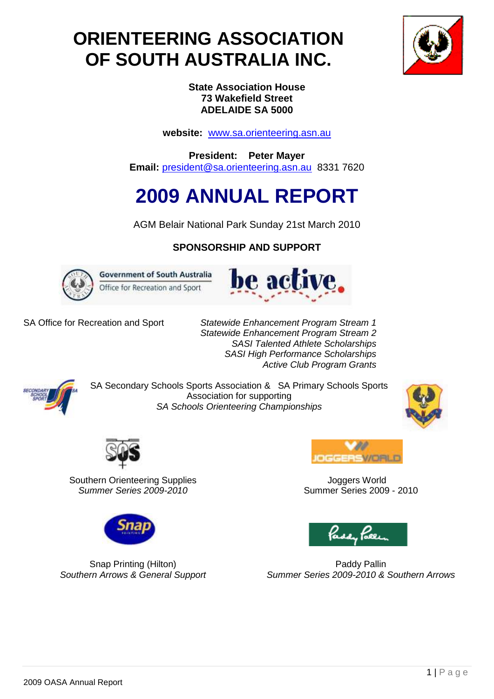# **ORIENTEERING ASSOCIATION OF SOUTH AUSTRALIA INC.**



**State Association House 73 Wakefield Street ADELAIDE SA 5000**

**website:** [www.sa.orienteering.asn.au](http://www.sa.orienteering.asn.au/)

**President: Peter Mayer Email:** [president@sa.orienteering.asn.au](mailto:president@sa.orienteering.asn.au) 8331 7620

# **2009 ANNUAL REPORT**

AGM Belair National Park Sunday 21st March 2010

# **SPONSORSHIP AND SUPPORT**



**Government of South Australia** Office for Recreation and Sport



SA Office for Recreation and Sport *Statewide Enhancement Program Stream 1 Statewide Enhancement Program Stream 2 SASI Talented Athlete Scholarships SASI High Performance Scholarships Active Club Program Grants*



SA Secondary Schools Sports Association & SA Primary Schools Sports Association for supporting *SA Schools Orienteering Championships*





Southern Orienteering Supplies *Summer Series 2009-2010*



**Joggers World** Summer Series 2009 - 2010





Paddy Pallin *Summer Series 2009-2010 & Southern Arrows*

Snap Printing (Hilton) *Southern Arrows & General Support*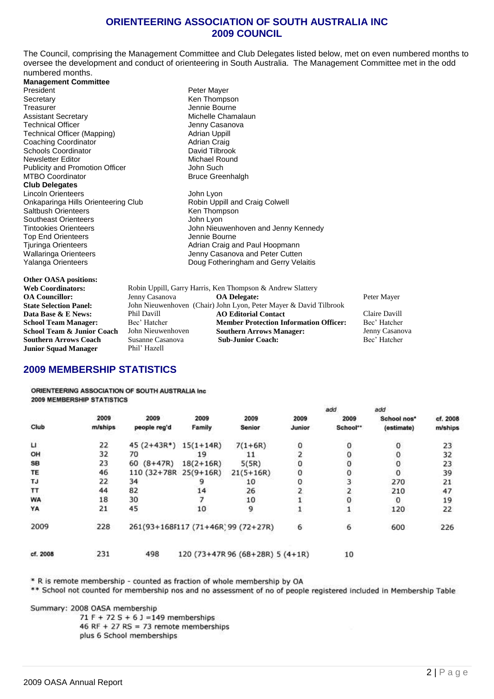## **ORIENTEERING ASSOCIATION OF SOUTH AUSTRALIA INC 2009 COUNCIL**

The Council, comprising the Management Committee and Club Delegates listed below, met on even numbered months to oversee the development and conduct of orienteering in South Australia. The Management Committee met in the odd numbered months.

**Management Committee** President Peter Mayer<br>
Secretary Contract Contract Contract Contract Contract Contract Contract Contract Contract Contract Contract Contract Contract Contract Contract Contract Contract Contract Contract Contract Contract Secretary Ken Thompson Assistant Secretary **Michelle Chamalaun**<br> **Assistant Secretary** Chamalaun<br> **Assistant Chamalaun**<br> **Assistant Chamalaun**<br> **Assistant Chamalaun**<br> **Assistant Chamalaun**<br> **Assistant Chamalaun** Technical Officer (Mapping) Technical Officer (Mapping) Senator (Jenny Casanoval Adrian Uppill<br>Technical Officer (Mapping) Technical Officer (Mapping) Technical Officer (Mapping) **Adrian Uppill**<br>
Coaching Coordinator **Adrian Craig** Coaching Coordinator The Coaching Coordinator Craig<br>
Schools Coordinator Coordinator David Tilbrook Schools Coordinator **David Tilbrook**<br>
Newsletter Editor **David Tilbrook**<br>
Michael Round Newsletter Editor Michael Rounder<br>
Publicity and Promotion Officer<br>
John Such Publicity and Promotion Officer MTBO Coordinator **Bruce Greenhalgh Club Delegates** Lincoln Orienteers<br>
Onkaparinga Hills Orienteering Club<br>
Robin Uppill and Craig Colwell Onkaparinga Hills Orienteering Club Robin Uppill and Saltbush Orienteers<br>
Saltbush Orienteers Colly Robin Liberal Collwell Ren Thompson Saltbush Orienteers Southeast Orienteers **Southeast Orienteers John Lyon** Top End Orienteers<br>Tiuringa Orienteers Wallaringa Orienteers **Victor Controllers** Jenny Casanova and Peter Cutten<br>
Yalanga Orienteers **Jenny Controllers** Doug Fotheringham and Gerry Vela

Jennie Bourne

Tintookies Orienteers **Access 19 Tintookies Orienteers** John Nieuwenhoven and Jenny Kennedy<br>
Jennie Bourne<br> **Jennie Bourne** Adrian Craig and Paul Hoopmann Doug Fotheringham and Gerry Velaitis

| <b>Other OASA positions:</b>          |
|---------------------------------------|
|                                       |
| <b>Web Coordinators:</b>              |
| <b>OA Councillor:</b>                 |
| <b>State Selection Panel:</b>         |
| Data Base & E News:                   |
| <b>School Team Manager:</b>           |
| <b>School Team &amp; Junior Coach</b> |
| <b>Southern Arrows Coach</b>          |
| <b>Junior Squad Manager</b>           |

Robin Uppill, Garry Harris, Ken Thompson & Andrew Slattery<br>Jenny Casanova<br>**OA Delegate: Casanova OA Delegate:** Peter Mayer **John Nieuwenhoven (Chair) John Lyon, Peter Mayer & David Tilbrook**<br> **AO Editorial Contact Data Base & E News:** Phil Davill **AO Editorial Contact** Claire Davill **School Team Member Protection Information Officer:** Bec' Hatcher John Nieuwenhoven **Southern Arrows Manager:** Jenny Casanova **Southern Arrows Manager:** Jenny Casano<br> **Sub-Junior Coach:** Bec' Hatcher **Susanne Casanova Sub-Junior Coach:** Phil' Hazell

# **2009 MEMBERSHIP STATISTICS**

ORIENTEERING ASSOCIATION OF SOUTH AUSTRALIA Inc. **2009 MEMBERSHIP STATISTICS** 

|           |         |                                     |             |                                  |        | add      | add         |          |
|-----------|---------|-------------------------------------|-------------|----------------------------------|--------|----------|-------------|----------|
|           | 2009    | 2009                                | 2009        | 2009                             | 2009   | 2009     | School nos* | cf. 2008 |
| Club      | m/ships | people reg'd                        | Family      | Senior                           | Junior | School** | (estimate)  | m/ships  |
| п         | 22      | 45 $(2+43R^*)$ 15 $(1+14R)$         |             | $7(1+6R)$                        | 0      | 0        |             | 23       |
| OH        | 32      | 70                                  | 19          | 11                               |        |          |             | 32       |
| <b>SB</b> | 23      | $60 (8+47R)$                        | $18(2+16R)$ | 5(5R)                            |        |          |             | 23       |
| TE        | 46      | 110 (32+78R 25(9+16R)               |             | $21(5+16R)$                      |        |          | 0           | 39       |
| TJ        | 22      | 34                                  |             | 10                               |        |          | 270         | 21       |
| TT        | 44      | 82                                  | 14          | 26                               |        |          | 210         | 47       |
| <b>WA</b> | 18      | 30                                  |             | 10                               |        |          | 0           | 19       |
| YA        | 21      | 45                                  | 10          | 9                                |        |          | 120         | 22       |
| 2009      | 228     | 261(93+168F117 (71+46R) 99 (72+27R) |             |                                  | 6      | 6        | 600         | 226      |
| cf. 2008  | 231     | 498                                 |             | 120 (73+47R 96 (68+28R) 5 (4+1R) |        | 10       |             |          |

\* R is remote membership - counted as fraction of whole membership by OA

\*\* School not counted for membership nos and no assessment of no of people registered included in Membership Table

Summary: 2008 OASA membership

 $71 F + 72 S + 6 J = 149$  memberships 46 RF + 27 RS = 73 remote memberships plus 6 School memberships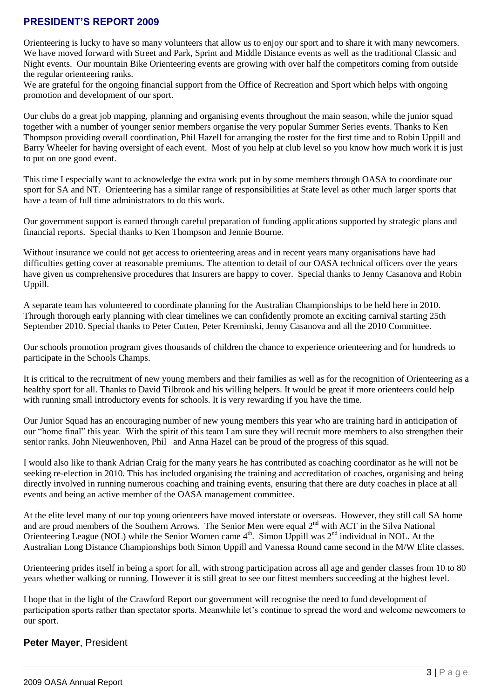# **PRESIDENT'S REPORT 2009**

Orienteering is lucky to have so many volunteers that allow us to enjoy our sport and to share it with many newcomers. We have moved forward with Street and Park, Sprint and Middle Distance events as well as the traditional Classic and Night events. Our mountain Bike Orienteering events are growing with over half the competitors coming from outside the regular orienteering ranks.

We are grateful for the ongoing financial support from the Office of Recreation and Sport which helps with ongoing promotion and development of our sport.

Our clubs do a great job mapping, planning and organising events throughout the main season, while the junior squad together with a number of younger senior members organise the very popular Summer Series events. Thanks to Ken Thompson providing overall coordination, Phil Hazell for arranging the roster for the first time and to Robin Uppill and Barry Wheeler for having oversight of each event. Most of you help at club level so you know how much work it is just to put on one good event.

This time I especially want to acknowledge the extra work put in by some members through OASA to coordinate our sport for SA and NT. Orienteering has a similar range of responsibilities at State level as other much larger sports that have a team of full time administrators to do this work.

Our government support is earned through careful preparation of funding applications supported by strategic plans and financial reports. Special thanks to Ken Thompson and Jennie Bourne.

Without insurance we could not get access to orienteering areas and in recent years many organisations have had difficulties getting cover at reasonable premiums. The attention to detail of our OASA technical officers over the years have given us comprehensive procedures that Insurers are happy to cover. Special thanks to Jenny Casanova and Robin Uppill.

A separate team has volunteered to coordinate planning for the Australian Championships to be held here in 2010. Through thorough early planning with clear timelines we can confidently promote an exciting carnival starting 25th September 2010. Special thanks to Peter Cutten, Peter Kreminski, Jenny Casanova and all the 2010 Committee.

Our schools promotion program gives thousands of children the chance to experience orienteering and for hundreds to participate in the Schools Champs.

It is critical to the recruitment of new young members and their families as well as for the recognition of Orienteering as a healthy sport for all. Thanks to David Tilbrook and his willing helpers. It would be great if more orienteers could help with running small introductory events for schools. It is very rewarding if you have the time.

Our Junior Squad has an encouraging number of new young members this year who are training hard in anticipation of our "home final" this year. With the spirit of this team I am sure they will recruit more members to also strengthen their senior ranks. John Nieuwenhoven, Phil and Anna Hazel can be proud of the progress of this squad.

I would also like to thank Adrian Craig for the many years he has contributed as coaching coordinator as he will not be seeking re-election in 2010. This has included organising the training and accreditation of coaches, organising and being directly involved in running numerous coaching and training events, ensuring that there are duty coaches in place at all events and being an active member of the OASA management committee.

At the elite level many of our top young orienteers have moved interstate or overseas. However, they still call SA home and are proud members of the Southern Arrows. The Senior Men were equal 2<sup>nd</sup> with ACT in the Silva National Orienteering League (NOL) while the Senior Women came  $4<sup>th</sup>$ . Simon Uppill was  $2<sup>nd</sup>$  individual in NOL. At the Australian Long Distance Championships both Simon Uppill and Vanessa Round came second in the M/W Elite classes.

Orienteering prides itself in being a sport for all, with strong participation across all age and gender classes from 10 to 80 years whether walking or running. However it is still great to see our fittest members succeeding at the highest level.

I hope that in the light of the Crawford Report our government will recognise the need to fund development of participation sports rather than spectator sports. Meanwhile let"s continue to spread the word and welcome newcomers to our sport.

# **Peter Mayer**, President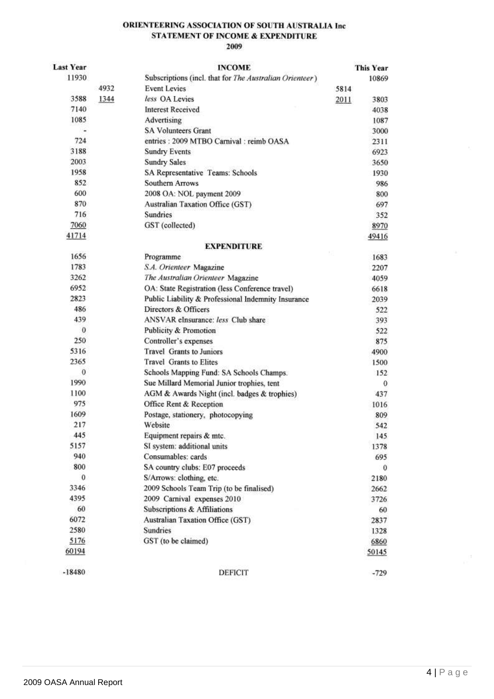#### ORIENTEERING ASSOCIATION OF SOUTH AUSTRALIA Inc STATEMENT OF INCOME & EXPENDITURE 2009

#### **INCOME**

| <b>Last Year</b> |      | <b>INCOME</b>                                           | <b>This Year</b> |
|------------------|------|---------------------------------------------------------|------------------|
| 11930            |      | Subscriptions (incl. that for The Australian Orienteer) | 10869            |
|                  | 4932 | <b>Event Levies</b>                                     | 5814             |
| 3588             | 1344 | less OA Levies                                          | 2011<br>3803     |
| 7140             |      | <b>Interest Received</b>                                | 4038             |
| 1085             |      | Advertising                                             | 1087             |
|                  |      | <b>SA Volunteers Grant</b>                              | 3000             |
| 724              |      | entries: 2009 MTBO Carnival: reimb OASA                 | 2311             |
| 3188             |      | <b>Sundry Events</b>                                    | 6923             |
| 2003             |      | <b>Sundry Sales</b>                                     | 3650             |
| 1958             |      | SA Representative Teams: Schools                        | 1930             |
| 852              |      | <b>Southern Arrows</b>                                  | 986              |
| 600              |      | 2008 OA: NOL payment 2009                               | 800              |
| 870              |      | Australian Taxation Office (GST)                        | 697              |
| 716              |      | Sundries                                                | 352              |
| 7060             |      | GST (collected)                                         | 8970             |
| 41714            |      |                                                         | 49416            |
|                  |      | <b>EXPENDITURE</b>                                      |                  |
| 1656             |      | Programme                                               | 1683             |
| 1783             |      | S.A. Orienteer Magazine                                 | 2207             |
| 3262             |      | The Australian Orienteer Magazine                       | 4059             |
| 6952             |      | OA: State Registration (less Conference travel)         | 6618             |
| 2823             |      | Public Liability & Professional Indemnity Insurance     | 2039             |
| 486              |      | Directors & Officers                                    | 522              |
| 439              |      | ANSVAR eInsurance: less Club share                      | 393              |
| 0                |      | Publicity & Promotion                                   | 522              |
| 250              |      | Controller's expenses                                   | 875              |
| 5316             |      | <b>Travel Grants to Juniors</b>                         | 4900             |
| 2365             |      | <b>Travel Grants to Elites</b>                          | 1500             |
| 0                |      | Schools Mapping Fund: SA Schools Champs.                | 152              |
| 1990             |      | Sue Millard Memorial Junior trophies, tent              | 0                |
| 1100             |      | AGM & Awards Night (incl. badges & trophies)            | 437              |
| 975              |      | Office Rent & Reception                                 | 1016             |
| 1609             |      | Postage, stationery, photocopying                       | 809              |
| 217              |      | Website                                                 | 542              |
| 445              |      | Equipment repairs & mtc.                                | 145              |
| 5157             |      | SI system: additional units                             | 1378             |
| 940              |      | Consumables: cards                                      | 695              |
| 800              |      | SA country clubs: E07 proceeds                          | $\theta$         |
| $\theta$         |      | S/Arrows: clothing, etc.                                | 2180             |
| 3346             |      | 2009 Schools Team Trip (to be finalised)                | 2662             |
| 4395             |      | 2009 Carnival expenses 2010                             | 3726             |
| 60               |      | Subscriptions & Affiliations                            | 60               |
| 6072             |      | Australian Taxation Office (GST)                        | 2837             |
| 2580             |      | <b>Sundries</b>                                         | 1328             |
| 5176             |      | GST (to be claimed)                                     | 6860             |
| 60194            |      |                                                         | 50145            |
| $-18480$         |      | DEFICIT                                                 | $-729$           |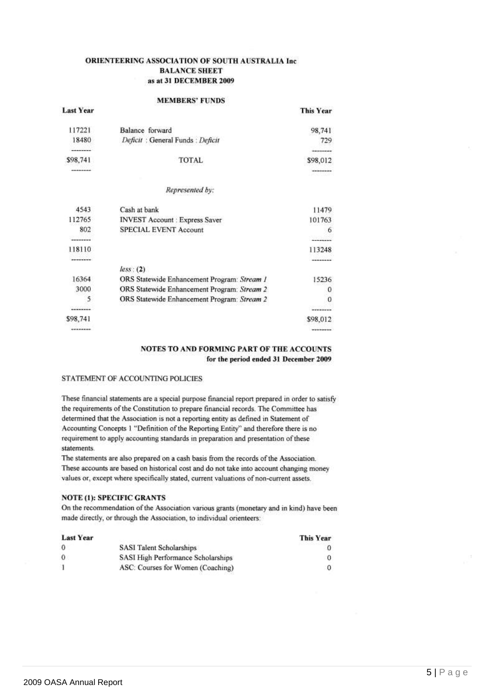#### **ORIENTEERING ASSOCIATION OF SOUTH AUSTRALIA Inc. BALANCE SHEET** as at 31 DECEMBER 2009

#### **MEMBERS' FUNDS**

|                  | 우리 회사는 일 사람이 잘 보았다가 되어 있었다.                 |                  |
|------------------|---------------------------------------------|------------------|
| <b>Last Year</b> |                                             | <b>This Year</b> |
| 117221           | Balance forward                             | 98,741           |
| 18480            | Deficit : General Funds : Deficit           | 729              |
|                  |                                             |                  |
| \$98,741         | TOTAL                                       | \$98,012         |
| --------         |                                             | ********         |
|                  | Represented by:                             |                  |
| 4543             | Cash at bank                                | 11479            |
| 112765           | <b>INVEST Account: Express Saver</b>        | 101763           |
| 802              | <b>SPECIAL EVENT Account</b>                | 6                |
| --------         |                                             |                  |
| 118110           |                                             | 113248           |
| ------           |                                             |                  |
|                  | less: (2)                                   |                  |
| 16364            | ORS Statewide Enhancement Program: Stream 1 | 15236            |
| 3000             | ORS Statewide Enhancement Program: Stream 2 | 0                |
| 5                | ORS Statewide Enhancement Program: Stream 2 | 0                |
|                  |                                             | --------         |
| \$98,741         |                                             | \$98,012         |
| --------         |                                             | ---------        |
|                  |                                             |                  |

#### NOTES TO AND FORMING PART OF THE ACCOUNTS for the period ended 31 December 2009

**This Year** 

#### STATEMENT OF ACCOUNTING POLICIES

These financial statements are a special purpose financial report prepared in order to satisfy the requirements of the Constitution to prepare financial records. The Committee has determined that the Association is not a reporting entity as defined in Statement of Accounting Concepts 1 "Definition of the Reporting Entity" and therefore there is no requirement to apply accounting standards in preparation and presentation of these statements.

The statements are also prepared on a cash basis from the records of the Association. These accounts are based on historical cost and do not take into account changing money values or, except where specifically stated, current valuations of non-current assets.

#### **NOTE (1): SPECIFIC GRANTS**

On the recommendation of the Association various grants (monetary and in kind) have been made directly, or through the Association, to individual orienteers:

#### **Last Year**

**THE CONTRACTOR** 

| $\theta$            | <b>SASI Talent Scholarships</b>    |  |
|---------------------|------------------------------------|--|
| $\ddot{\mathbf{0}}$ | SASI High Performance Scholarships |  |
|                     | ASC: Courses for Women (Coaching)  |  |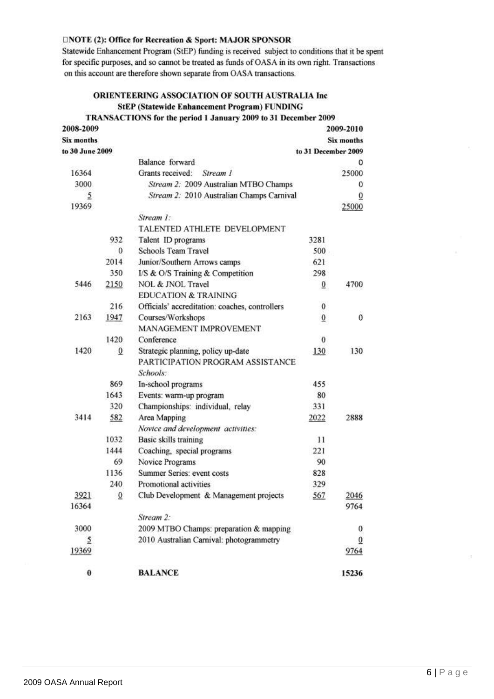#### **ENOTE (2): Office for Recreation & Sport: MAJOR SPONSOR**

Statewide Enhancement Program (StEP) funding is received subject to conditions that it be spent for specific purposes, and so cannot be treated as funds of OASA in its own right. Transactions on this account are therefore shown separate from OASA transactions.

### ORIENTEERING ASSOCIATION OF SOUTH AUSTRALIA Inc **StEP (Statewide Enhancement Program) FUNDING**

#### TRANSACTIONS for the period 1 January 2009 to 31 December 2009

| 2008-2009         |                 |                                                |                     | 2009-2010         |
|-------------------|-----------------|------------------------------------------------|---------------------|-------------------|
| <b>Six months</b> |                 |                                                |                     | <b>Six months</b> |
| to 30 June 2009   |                 |                                                | to 31 December 2009 |                   |
|                   |                 | Balance forward                                |                     | 0                 |
| 16364             |                 | Grants received: Stream 1                      |                     | 25000             |
| 3000              |                 | Stream 2: 2009 Australian MTBO Champs          |                     | 0                 |
| 5                 |                 | Stream 2: 2010 Australian Champs Carnival      |                     | $\overline{0}$    |
| 19369             |                 |                                                |                     | 25000             |
|                   |                 | Stream 1:                                      |                     |                   |
|                   |                 | TALENTED ATHLETE DEVELOPMENT                   |                     |                   |
|                   | 932             | Talent ID programs                             | 3281                |                   |
|                   | 0               | <b>Schools Team Travel</b>                     | 500                 |                   |
|                   | 2014            | Junior/Southern Arrows camps                   | 621                 |                   |
|                   | 350             | I/S & O/S Training & Competition               | 298                 |                   |
| 5446              | 2150            | NOL & JNOL Travel                              | $\overline{0}$      | 4700              |
|                   |                 | <b>EDUCATION &amp; TRAINING</b>                |                     |                   |
|                   | 216             | Officials' accreditation: coaches, controllers | 0                   |                   |
| 2163              | 1947            | Courses/Workshops                              | $\overline{0}$      | 0                 |
|                   |                 | MANAGEMENT IMPROVEMENT                         |                     |                   |
|                   | 1420            | Conference                                     | 0                   |                   |
| 1420              | $\overline{0}$  | Strategic planning, policy up-date             | 130                 | 130               |
|                   |                 | PARTICIPATION PROGRAM ASSISTANCE               |                     |                   |
|                   |                 | Schools:                                       |                     |                   |
|                   | 869             | In-school programs                             | 455                 |                   |
|                   | 1643            | Events: warm-up program                        | 80                  |                   |
|                   | 320             | Championships: individual, relay               | 331                 |                   |
| 3414              | 582             | Area Mapping                                   | 2022                | 2888              |
|                   |                 | Novice and development activities:             |                     |                   |
|                   | 1032            | Basic skills training                          | 11                  |                   |
|                   | 1444            | Coaching, special programs                     | 221                 |                   |
|                   | 69              | Novice Programs                                | 90                  |                   |
|                   | 1136            | Summer Series: event costs                     | 828                 |                   |
|                   | 240             | Promotional activities                         | 329                 |                   |
| 3921              | $\underline{0}$ | Club Development & Management projects         | 567                 | 2046              |
| 16364             |                 |                                                |                     | 9764              |
|                   |                 | Stream 2:                                      |                     |                   |
| 3000              |                 | 2009 MTBO Champs: preparation & mapping        |                     | 0                 |
| 5                 |                 | 2010 Australian Carnival: photogrammetry       |                     | $\overline{0}$    |
| 19369             |                 |                                                |                     | 9764              |
| $\bf{0}$          |                 | <b>BALANCE</b>                                 |                     | 15236             |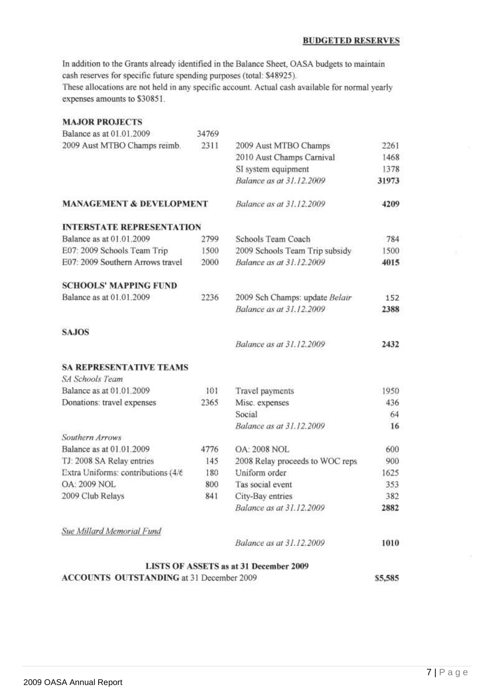#### **BUDGETED RESERVES**

In addition to the Grants already identified in the Balance Sheet, OASA budgets to maintain cash reserves for specific future spending purposes (total: \$48925).

These allocations are not held in any specific account. Actual cash available for normal yearly expenses amounts to \$30851.

| <b>MAJOR PROJECTS</b>                           |       |                                        |         |
|-------------------------------------------------|-------|----------------------------------------|---------|
| Balance as at 01.01.2009                        | 34769 |                                        |         |
| 2009 Aust MTBO Champs reimb.                    | 2311  | 2009 Aust MTBO Champs                  | 2261    |
|                                                 |       | 2010 Aust Champs Carnival              | 1468    |
|                                                 |       | SI system equipment                    | 1378    |
|                                                 |       | Balance as at 31.12.2009               | 31973   |
| <b>MANAGEMENT &amp; DEVELOPMENT</b>             |       | Balance as at 31.12.2009               | 4209    |
| <b>INTERSTATE REPRESENTATION</b>                |       |                                        |         |
| Balance as at 01.01.2009                        | 2799  | Schools Team Coach                     | 784     |
| E07: 2009 Schools Team Trip                     | 1500  | 2009 Schools Team Trip subsidy         | 1500    |
| E07: 2009 Southern Arrows travel                | 2000  | Balance as at 31.12.2009               | 4015    |
| <b>SCHOOLS' MAPPING FUND</b>                    |       |                                        |         |
| Balance as at 01.01.2009                        | 2236  | 2009 Sch Champs: update Belair         | 152     |
|                                                 |       | Balance as at 31.12.2009               | 2388    |
| <b>SAJOS</b>                                    |       |                                        |         |
|                                                 |       | Balance as at 31.12.2009               | 2432    |
| <b>SA REPRESENTATIVE TEAMS</b>                  |       |                                        |         |
| SA Schools Team                                 |       |                                        |         |
| Balance as at 01.01.2009                        | 101   | Travel payments                        | 1950    |
| Donations: travel expenses                      | 2365  | Misc. expenses                         | 436     |
|                                                 |       | Social                                 | 64      |
|                                                 |       | Balance as at 31.12.2009               | 16      |
| Southern Arrows                                 |       |                                        |         |
| Balance as at 01.01.2009                        | 4776  | <b>OA: 2008 NOL</b>                    | 600     |
| TJ: 2008 SA Relay entries                       | 145   | 2008 Relay proceeds to WOC reps        | 900     |
| Extra Uniforms: contributions (4/6              | 180   | Uniform order                          | 1625    |
| <b>OA: 2009 NOL</b>                             | 800   | Tas social event                       | 353     |
| 2009 Club Relays                                | 841   | City-Bay entries                       | 382     |
|                                                 |       | Balance as at 31.12.2009               | 2882    |
| Sue Millard Memorial Fund                       |       |                                        |         |
|                                                 |       | Balance as at 31.12.2009               | 1010    |
|                                                 |       | LISTS OF ASSETS as at 31 December 2009 |         |
| <b>ACCOUNTS OUTSTANDING at 31 December 2009</b> |       |                                        | \$5,585 |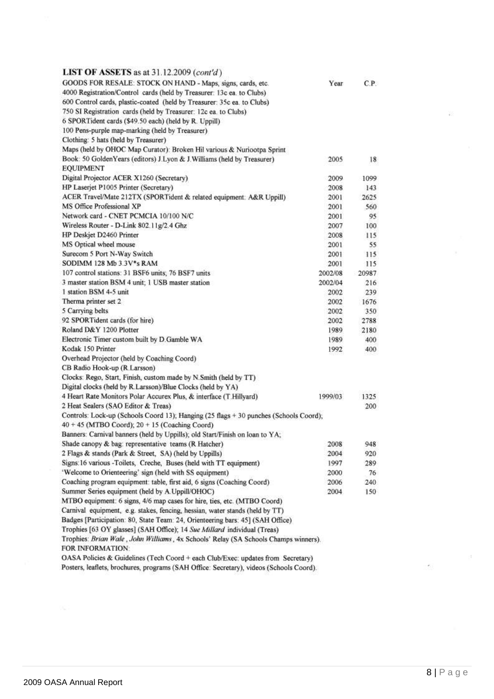| <b>LIST OF ASSETS</b> as at $31.12.2009$ (cont'd)                                       |         |                 |
|-----------------------------------------------------------------------------------------|---------|-----------------|
| GOODS FOR RESALE: STOCK ON HAND - Maps, signs, cards, etc.                              | Year    | C.P.            |
| 4000 Registration/Control cards (held by Treasurer: 13c ea. to Clubs)                   |         |                 |
| 600 Control cards, plastic-coated (held by Treasurer: 35c ea. to Clubs)                 |         |                 |
| 750 SI Registration cards (held by Treasurer: 12c ea. to Clubs)                         |         |                 |
| 6 SPORTident cards (\$49.50 each) (held by R. Uppill)                                   |         |                 |
| 100 Pens-purple map-marking (held by Treasurer).                                        |         |                 |
| Clothing: 5 hats (held by Treasurer)                                                    |         |                 |
| Maps (held by OHOC Map Curator): Broken Hil various & Nuriootpa Sprint                  |         |                 |
| Book: 50 GoldenYears (editors) J.Lyon & J.Williams (held by Treasurer)                  | 2005    | 18 <sup>2</sup> |
| <b>EQUIPMENT</b>                                                                        |         |                 |
| Digital Projector ACER X1260 (Secretary)                                                | 2009    | 1099            |
| HP Laserjet P1005 Printer (Secretary)                                                   | 2008    | 143             |
| ACER Travel/Mate 212TX (SPORTident & related equipment: A&R Uppill)                     | 2001    | 2625            |
| MS Office Professional XP                                                               | 2001    | 560             |
| Network card - CNET PCMCIA 10/100 N/C                                                   |         |                 |
|                                                                                         | 2001    | 95              |
| Wireless Router - D-Link 802.11g/2.4 Ghz                                                | 2007    | 100             |
| HP Deskjet D2460 Printer                                                                | 2008    | 115             |
| MS Optical wheel mouse                                                                  | 2001    | 55              |
| Surecom 5 Port N-Way Switch                                                             | 2001    | 115             |
| SODIMM 128 Mb 3.3V*s RAM                                                                | 2001    | 115             |
| 107 control stations: 31 BSF6 units; 76 BSF7 units                                      | 2002/08 | 20987           |
| 3 master station BSM 4 unit; 1 USB master station                                       | 2002/04 | 216             |
| 1 station BSM 4-5 unit                                                                  | 2002    | 239             |
| Therma printer set 2                                                                    | 2002    | 1676            |
| 5 Carrying belts                                                                        | 2002    | 350             |
| 92 SPORTident cards (for hire)                                                          | 2002    | 2788            |
| Roland D&Y 1200 Plotter                                                                 | 1989    | 2180            |
| Electronic Timer custom built by D. Gamble WA                                           | 1989    | 400             |
| Kodak 150 Printer                                                                       | 1992    | 400             |
| Overhead Projector (held by Coaching Coord)                                             |         |                 |
| CB Radio Hook-up (R Larsson)                                                            |         |                 |
| Clocks: Rego, Start, Finish, custom made by N.Smith (held by TT)                        |         |                 |
| Digital clocks (held by R.Larsson)/Blue Clocks (held by YA)                             |         |                 |
| 4 Heart Rate Monitors Polar Accurex Plus, & interface (T.Hillyard)                      | 1999/03 | 1325            |
| 2 Heat Sealers (SAO Editor & Treas)                                                     |         | 200             |
| Controls: Lock-up (Schools Coord 13); Hanging (25 flags + 30 punches (Schools Coord);   |         |                 |
| $40 + 45$ (MTBO Coord); $20 + 15$ (Coaching Coord)                                      |         |                 |
| Banners: Carnival banners (held by Uppills); old Start/Finish on loan to YA;            |         |                 |
| Shade canopy & bag: representative teams (R Hatcher)                                    | 2008    | 948             |
| 2 Flags & stands (Park & Street, SA) (held by Uppills)                                  | 2004    | 920             |
| Signs: 16 various -Toilets, Creche, Buses (held with TT equipment)                      | 1997    | 289             |
| 'Welcome to Orienteering' sign (held with SS equipment)                                 | 2000    | 76              |
| Coaching program equipment: table, first aid, 6 signs (Coaching Coord)                  | 2006    | 240             |
| Summer Series equipment (held by A.Uppill/OHOC)                                         | 2004    | 150             |
| MTBO equipment: 6 signs, 4/6 map cases for hire, ties, etc. (MTBO Coord)                |         |                 |
| Carnival equipment, e.g. stakes, fencing, hessian, water stands (held by TT)            |         |                 |
| Badges [Participation: 80, State Team: 24, Orienteering bars: 45] (SAH Office)          |         |                 |
| Trophies [63 OY glasses] (SAH Office); 14 Sue Millard individual (Treas)                |         |                 |
| Trophies: Brian Wale, John Williams, 4x Schools' Relay (SA Schools Champs winners).     |         |                 |
| FOR INFORMATION:                                                                        |         |                 |
| OASA Policies & Guidelines (Tech Coord + each Club/Exec: updates from Secretary)        |         |                 |
| Posters, leaflets, brochures, programs (SAH Office: Secretary), videos (Schools Coord). |         |                 |

ψi,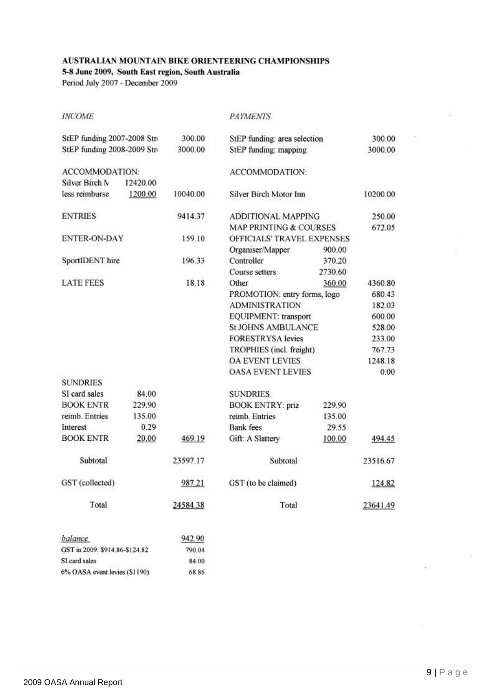#### AUSTRALIAN MOUNTAIN BIKE ORIENTEERING CHAMPIONSHIPS

**PAYMENTS** 

5-8 June 2009, South East region, South Australia

Period July 2007 - December 2009

**INCOME** 

|                                |          |          |                              |                              | 300.00   |  |
|--------------------------------|----------|----------|------------------------------|------------------------------|----------|--|
| StEP funding 2007-2008 Stro    |          | 300.00   |                              | StEP funding: area selection |          |  |
| StEP funding 2008-2009 Str-    |          | 3000.00  | StEP funding: mapping        |                              | 3000.00  |  |
| ACCOMMODATION:                 |          |          | ACCOMMODATION:               |                              |          |  |
| Silver Birch N                 | 12420.00 |          |                              |                              |          |  |
| less reimburse                 | 1200.00  | 10040.00 | Silver Birch Motor Inn       |                              | 10200.00 |  |
| <b>ENTRIES</b>                 |          | 9414.37  | ADDITIONAL MAPPING           |                              | 250.00   |  |
|                                |          |          | MAP PRINTING & COURSES       |                              | 672.05   |  |
| <b>ENTER-ON-DAY</b>            |          | 159.10   | OFFICIALS' TRAVEL EXPENSES   |                              |          |  |
|                                |          |          | Organiser/Mapper             | 900.00                       |          |  |
| SportIDENT hire                |          | 196.33   | Controller                   | 370.20                       |          |  |
|                                |          |          | Course setters               | 2730.60                      |          |  |
| <b>LATE FEES</b>               |          | 18.18    | Other                        | 360.00                       | 4360.80  |  |
|                                |          |          | PROMOTION: entry forms, logo |                              | 680.43   |  |
|                                |          |          | <b>ADMINISTRATION</b>        |                              | 182.03   |  |
|                                |          |          | EQUIPMENT: transport         |                              | 600.00   |  |
|                                |          |          | <b>St JOHNS AMBULANCE</b>    |                              | 528.00   |  |
|                                |          |          | <b>FORESTRYSA</b> levies     |                              | 233.00   |  |
|                                |          |          | TROPHIES (incl. freight)     |                              | 767.73   |  |
|                                |          |          | <b>OA EVENT LEVIES</b>       |                              | 1248.18  |  |
|                                |          |          | <b>OASA EVENT LEVIES</b>     |                              | 0.00     |  |
| <b>SUNDRIES</b>                |          |          |                              |                              |          |  |
| SI card sales                  | 84.00    |          | <b>SUNDRIES</b>              |                              |          |  |
| <b>BOOK ENTR</b>               | 229.90   |          | <b>BOOK ENTRY: priz</b>      | 229.90                       |          |  |
| reimb. Entries                 | 135.00   |          | reimb. Entries               | 135.00                       |          |  |
| Interest                       | 0.29     |          | <b>Bank</b> fees             | 29.55                        |          |  |
| <b>BOOK ENTR</b>               | 20.00    | 469.19   | Gift: A Slattery             | 100.00                       | 494.45   |  |
| Subtotal                       |          | 23597.17 | Subtotal                     |                              | 23516.67 |  |
| GST (collected)                |          | 987.21   | GST (to be claimed)          |                              | 124.82   |  |
| Total                          |          | 24584.38 | Total                        |                              | 23641.49 |  |
| balance                        |          | 942.90   |                              |                              |          |  |
| GST in 2009: \$914.86-\$124.82 |          | 790.04   |                              |                              |          |  |
| SI card sales                  |          | 84.00    |                              |                              |          |  |

68.86

6% OASA event levies (\$1190)

ù,

 $\bar{\nu}$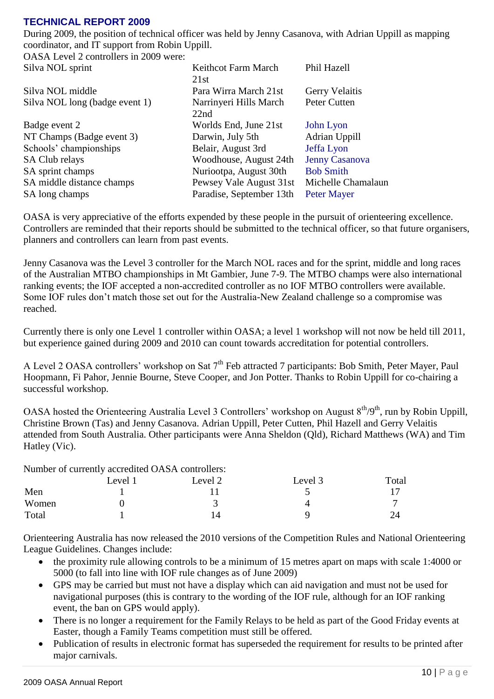# **TECHNICAL REPORT 2009**

During 2009, the position of technical officer was held by Jenny Casanova, with Adrian Uppill as mapping coordinator, and IT support from Robin Uppill.

OASA Level 2 controllers in 2009 were:<br>Silva NOI sprint

| Silva NOL sprint               | Keithcot Farm March      | Phil Hazell           |
|--------------------------------|--------------------------|-----------------------|
|                                | 21st                     |                       |
| Silva NOL middle               | Para Wirra March 21st    | Gerry Velaitis        |
| Silva NOL long (badge event 1) | Narrinyeri Hills March   | Peter Cutten          |
|                                | 22nd                     |                       |
| Badge event 2                  | Worlds End, June 21st    | John Lyon             |
| NT Champs (Badge event 3)      | Darwin, July 5th         | Adrian Uppill         |
| Schools' championships         | Belair, August 3rd       | Jeffa Lyon            |
| <b>SA Club relays</b>          | Woodhouse, August 24th   | <b>Jenny Casanova</b> |
| SA sprint champs               | Nuriootpa, August 30th   | <b>Bob Smith</b>      |
| SA middle distance champs      | Pewsey Vale August 31st  | Michelle Chamalaun    |
| SA long champs                 | Paradise, September 13th | <b>Peter Mayer</b>    |

OASA is very appreciative of the efforts expended by these people in the pursuit of orienteering excellence. Controllers are reminded that their reports should be submitted to the technical officer, so that future organisers, planners and controllers can learn from past events.

Jenny Casanova was the Level 3 controller for the March NOL races and for the sprint, middle and long races of the Australian MTBO championships in Mt Gambier, June 7-9. The MTBO champs were also international ranking events; the IOF accepted a non-accredited controller as no IOF MTBO controllers were available. Some IOF rules don"t match those set out for the Australia-New Zealand challenge so a compromise was reached.

Currently there is only one Level 1 controller within OASA; a level 1 workshop will not now be held till 2011, but experience gained during 2009 and 2010 can count towards accreditation for potential controllers.

A Level 2 OASA controllers' workshop on Sat 7<sup>th</sup> Feb attracted 7 participants: Bob Smith, Peter Mayer, Paul Hoopmann, Fi Pahor, Jennie Bourne, Steve Cooper, and Jon Potter. Thanks to Robin Uppill for co-chairing a successful workshop.

OASA hosted the Orienteering Australia Level 3 Controllers' workshop on August 8<sup>th</sup>/9<sup>th</sup>, run by Robin Uppill, Christine Brown (Tas) and Jenny Casanova. Adrian Uppill, Peter Cutten, Phil Hazell and Gerry Velaitis attended from South Australia. Other participants were Anna Sheldon (Qld), Richard Matthews (WA) and Tim Hatley (Vic).

Number of currently accredited OASA controllers:

|       | __<br>Level 1 | Level 2 | Level 3 | Total |
|-------|---------------|---------|---------|-------|
| Men   |               |         | ັ       |       |
| Women |               | -       |         |       |
| Total |               |         |         | 24    |

Orienteering Australia has now released the 2010 versions of the Competition Rules and National Orienteering League Guidelines. Changes include:

- the proximity rule allowing controls to be a minimum of 15 metres apart on maps with scale 1:4000 or 5000 (to fall into line with IOF rule changes as of June 2009)
- GPS may be carried but must not have a display which can aid navigation and must not be used for navigational purposes (this is contrary to the wording of the IOF rule, although for an IOF ranking event, the ban on GPS would apply).
- There is no longer a requirement for the Family Relays to be held as part of the Good Friday events at Easter, though a Family Teams competition must still be offered.
- Publication of results in electronic format has superseded the requirement for results to be printed after major carnivals.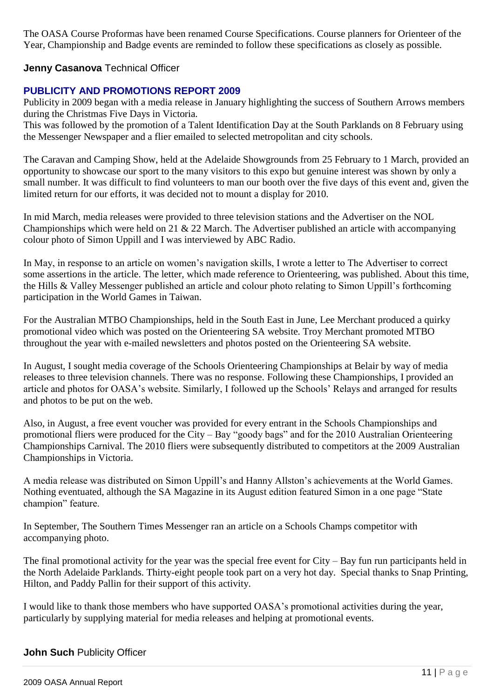The OASA Course Proformas have been renamed Course Specifications. Course planners for Orienteer of the Year, Championship and Badge events are reminded to follow these specifications as closely as possible.

# **Jenny Casanova** Technical Officer

# **PUBLICITY AND PROMOTIONS REPORT 2009**

Publicity in 2009 began with a media release in January highlighting the success of Southern Arrows members during the Christmas Five Days in Victoria.

This was followed by the promotion of a Talent Identification Day at the South Parklands on 8 February using the Messenger Newspaper and a flier emailed to selected metropolitan and city schools.

The Caravan and Camping Show, held at the Adelaide Showgrounds from 25 February to 1 March, provided an opportunity to showcase our sport to the many visitors to this expo but genuine interest was shown by only a small number. It was difficult to find volunteers to man our booth over the five days of this event and, given the limited return for our efforts, it was decided not to mount a display for 2010.

In mid March, media releases were provided to three television stations and the Advertiser on the NOL Championships which were held on 21 & 22 March. The Advertiser published an article with accompanying colour photo of Simon Uppill and I was interviewed by ABC Radio.

In May, in response to an article on women"s navigation skills, I wrote a letter to The Advertiser to correct some assertions in the article. The letter, which made reference to Orienteering, was published. About this time, the Hills & Valley Messenger published an article and colour photo relating to Simon Uppill"s forthcoming participation in the World Games in Taiwan.

For the Australian MTBO Championships, held in the South East in June, Lee Merchant produced a quirky promotional video which was posted on the Orienteering SA website. Troy Merchant promoted MTBO throughout the year with e-mailed newsletters and photos posted on the Orienteering SA website.

In August, I sought media coverage of the Schools Orienteering Championships at Belair by way of media releases to three television channels. There was no response. Following these Championships, I provided an article and photos for OASA"s website. Similarly, I followed up the Schools" Relays and arranged for results and photos to be put on the web.

Also, in August, a free event voucher was provided for every entrant in the Schools Championships and promotional fliers were produced for the City – Bay "goody bags" and for the 2010 Australian Orienteering Championships Carnival. The 2010 fliers were subsequently distributed to competitors at the 2009 Australian Championships in Victoria.

A media release was distributed on Simon Uppill"s and Hanny Allston"s achievements at the World Games. Nothing eventuated, although the SA Magazine in its August edition featured Simon in a one page "State champion" feature.

In September, The Southern Times Messenger ran an article on a Schools Champs competitor with accompanying photo.

The final promotional activity for the year was the special free event for City – Bay fun run participants held in the North Adelaide Parklands. Thirty-eight people took part on a very hot day. Special thanks to Snap Printing, Hilton, and Paddy Pallin for their support of this activity.

I would like to thank those members who have supported OASA"s promotional activities during the year, particularly by supplying material for media releases and helping at promotional events.

# **John Such** Publicity Officer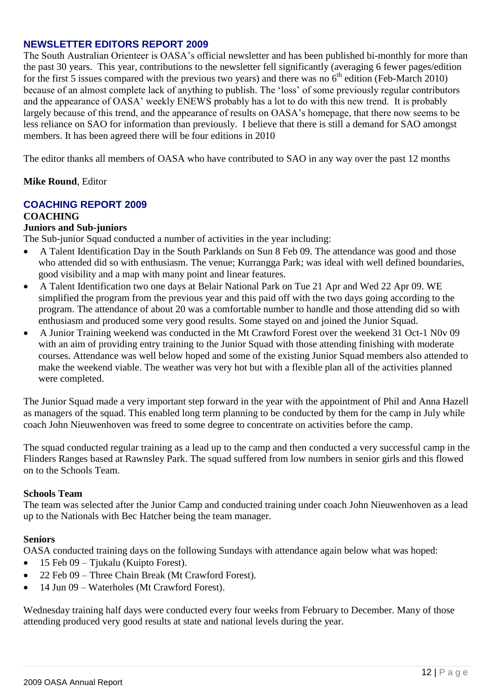## **NEWSLETTER EDITORS REPORT 2009**

The South Australian Orienteer is OASA"s official newsletter and has been published bi-monthly for more than the past 30 years. This year, contributions to the newsletter fell significantly (averaging 6 fewer pages/edition for the first 5 issues compared with the previous two years) and there was no  $6<sup>th</sup>$  edition (Feb-March 2010) because of an almost complete lack of anything to publish. The "loss" of some previously regular contributors and the appearance of OASA' weekly ENEWS probably has a lot to do with this new trend. It is probably largely because of this trend, and the appearance of results on OASA"s homepage, that there now seems to be less reliance on SAO for information than previously. I believe that there is still a demand for SAO amongst members. It has been agreed there will be four editions in 2010

The editor thanks all members of OASA who have contributed to SAO in any way over the past 12 months

## **Mike Round**, Editor

# **COACHING REPORT 2009**

## **COACHING**

# **Juniors and Sub-juniors**

The Sub-junior Squad conducted a number of activities in the year including:

- A Talent Identification Day in the South Parklands on Sun 8 Feb 09. The attendance was good and those who attended did so with enthusiasm. The venue; Kurrangga Park; was ideal with well defined boundaries, good visibility and a map with many point and linear features.
- A Talent Identification two one days at Belair National Park on Tue 21 Apr and Wed 22 Apr 09. WE simplified the program from the previous year and this paid off with the two days going according to the program. The attendance of about 20 was a comfortable number to handle and those attending did so with enthusiasm and produced some very good results. Some stayed on and joined the Junior Squad.
- A Junior Training weekend was conducted in the Mt Crawford Forest over the weekend 31 Oct-1 N0v 09 with an aim of providing entry training to the Junior Squad with those attending finishing with moderate courses. Attendance was well below hoped and some of the existing Junior Squad members also attended to make the weekend viable. The weather was very hot but with a flexible plan all of the activities planned were completed.

The Junior Squad made a very important step forward in the year with the appointment of Phil and Anna Hazell as managers of the squad. This enabled long term planning to be conducted by them for the camp in July while coach John Nieuwenhoven was freed to some degree to concentrate on activities before the camp.

The squad conducted regular training as a lead up to the camp and then conducted a very successful camp in the Flinders Ranges based at Rawnsley Park. The squad suffered from low numbers in senior girls and this flowed on to the Schools Team.

## **Schools Team**

The team was selected after the Junior Camp and conducted training under coach John Nieuwenhoven as a lead up to the Nationals with Bec Hatcher being the team manager.

## **Seniors**

OASA conducted training days on the following Sundays with attendance again below what was hoped:

- 15 Feb 09 Tjukalu (Kuipto Forest).
- 22 Feb 09 Three Chain Break (Mt Crawford Forest).
- 14 Jun 09 Waterholes (Mt Crawford Forest).

Wednesday training half days were conducted every four weeks from February to December. Many of those attending produced very good results at state and national levels during the year.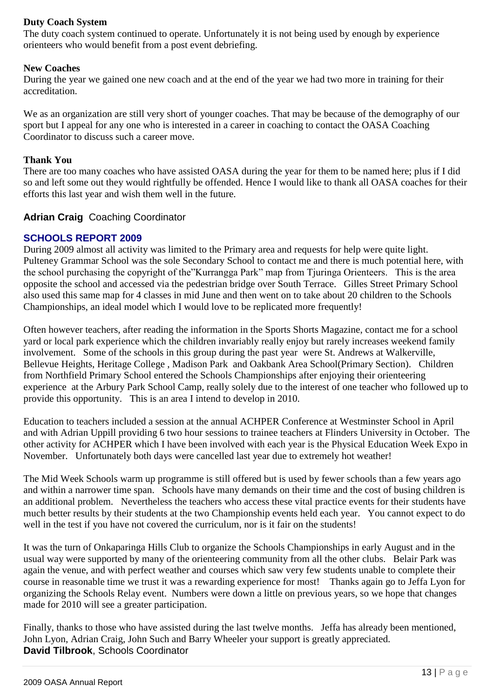## **Duty Coach System**

The duty coach system continued to operate. Unfortunately it is not being used by enough by experience orienteers who would benefit from a post event debriefing.

## **New Coaches**

During the year we gained one new coach and at the end of the year we had two more in training for their accreditation.

We as an organization are still very short of younger coaches. That may be because of the demography of our sport but I appeal for any one who is interested in a career in coaching to contact the OASA Coaching Coordinator to discuss such a career move.

## **Thank You**

There are too many coaches who have assisted OASA during the year for them to be named here; plus if I did so and left some out they would rightfully be offended. Hence I would like to thank all OASA coaches for their efforts this last year and wish them well in the future.

## **Adrian Craig** Coaching Coordinator

# **SCHOOLS REPORT 2009**

During 2009 almost all activity was limited to the Primary area and requests for help were quite light. Pulteney Grammar School was the sole Secondary School to contact me and there is much potential here, with the school purchasing the copyright of the"Kurrangga Park" map from Tjuringa Orienteers. This is the area opposite the school and accessed via the pedestrian bridge over South Terrace. Gilles Street Primary School also used this same map for 4 classes in mid June and then went on to take about 20 children to the Schools Championships, an ideal model which I would love to be replicated more frequently!

Often however teachers, after reading the information in the Sports Shorts Magazine, contact me for a school yard or local park experience which the children invariably really enjoy but rarely increases weekend family involvement. Some of the schools in this group during the past year were St. Andrews at Walkerville, Bellevue Heights, Heritage College , Madison Park and Oakbank Area School(Primary Section). Children from Northfield Primary School entered the Schools Championships after enjoying their orienteering experience at the Arbury Park School Camp, really solely due to the interest of one teacher who followed up to provide this opportunity. This is an area I intend to develop in 2010.

Education to teachers included a session at the annual ACHPER Conference at Westminster School in April and with Adrian Uppill providing 6 two hour sessions to trainee teachers at Flinders University in October. The other activity for ACHPER which I have been involved with each year is the Physical Education Week Expo in November. Unfortunately both days were cancelled last year due to extremely hot weather!

The Mid Week Schools warm up programme is still offered but is used by fewer schools than a few years ago and within a narrower time span. Schools have many demands on their time and the cost of busing children is an additional problem. Nevertheless the teachers who access these vital practice events for their students have much better results by their students at the two Championship events held each year. You cannot expect to do well in the test if you have not covered the curriculum, nor is it fair on the students!

It was the turn of Onkaparinga Hills Club to organize the Schools Championships in early August and in the usual way were supported by many of the orienteering community from all the other clubs. Belair Park was again the venue, and with perfect weather and courses which saw very few students unable to complete their course in reasonable time we trust it was a rewarding experience for most! Thanks again go to Jeffa Lyon for organizing the Schools Relay event. Numbers were down a little on previous years, so we hope that changes made for 2010 will see a greater participation.

Finally, thanks to those who have assisted during the last twelve months. Jeffa has already been mentioned, John Lyon, Adrian Craig, John Such and Barry Wheeler your support is greatly appreciated. **David Tilbrook**, Schools Coordinator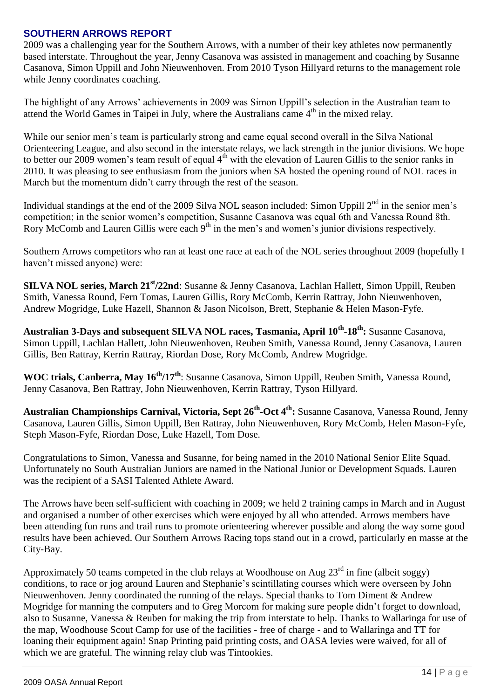# **SOUTHERN ARROWS REPORT**

2009 was a challenging year for the Southern Arrows, with a number of their key athletes now permanently based interstate. Throughout the year, Jenny Casanova was assisted in management and coaching by Susanne Casanova, Simon Uppill and John Nieuwenhoven. From 2010 Tyson Hillyard returns to the management role while Jenny coordinates coaching.

The highlight of any Arrows' achievements in 2009 was Simon Uppill's selection in the Australian team to attend the World Games in Taipei in July, where the Australians came  $4<sup>th</sup>$  in the mixed relay.

While our senior men's team is particularly strong and came equal second overall in the Silva National Orienteering League, and also second in the interstate relays, we lack strength in the junior divisions. We hope to better our 2009 women's team result of equal  $4<sup>th</sup>$  with the elevation of Lauren Gillis to the senior ranks in 2010. It was pleasing to see enthusiasm from the juniors when SA hosted the opening round of NOL races in March but the momentum didn"t carry through the rest of the season.

Individual standings at the end of the 2009 Silva NOL season included: Simon Uppill  $2^{nd}$  in the senior men's competition; in the senior women"s competition, Susanne Casanova was equal 6th and Vanessa Round 8th. Rory McComb and Lauren Gillis were each  $9<sup>th</sup>$  in the men's and women's junior divisions respectively.

Southern Arrows competitors who ran at least one race at each of the NOL series throughout 2009 (hopefully I haven"t missed anyone) were:

**SILVA NOL series, March 21st/22nd**: Susanne & Jenny Casanova, Lachlan Hallett, Simon Uppill, Reuben Smith, Vanessa Round, Fern Tomas, Lauren Gillis, Rory McComb, Kerrin Rattray, John Nieuwenhoven, Andrew Mogridge, Luke Hazell, Shannon & Jason Nicolson, Brett, Stephanie & Helen Mason-Fyfe.

**Australian 3-Days and subsequent SILVA NOL races, Tasmania, April 10th -18th:** Susanne Casanova, Simon Uppill, Lachlan Hallett, John Nieuwenhoven, Reuben Smith, Vanessa Round, Jenny Casanova, Lauren Gillis, Ben Rattray, Kerrin Rattray, Riordan Dose, Rory McComb, Andrew Mogridge.

**WOC trials, Canberra, May 16th/17th**: Susanne Casanova, Simon Uppill, Reuben Smith, Vanessa Round, Jenny Casanova, Ben Rattray, John Nieuwenhoven, Kerrin Rattray, Tyson Hillyard.

**Australian Championships Carnival, Victoria, Sept 26th -Oct 4th:** Susanne Casanova, Vanessa Round, Jenny Casanova, Lauren Gillis, Simon Uppill, Ben Rattray, John Nieuwenhoven, Rory McComb, Helen Mason-Fyfe, Steph Mason-Fyfe, Riordan Dose, Luke Hazell, Tom Dose.

Congratulations to Simon, Vanessa and Susanne, for being named in the 2010 National Senior Elite Squad. Unfortunately no South Australian Juniors are named in the National Junior or Development Squads. Lauren was the recipient of a SASI Talented Athlete Award.

The Arrows have been self-sufficient with coaching in 2009; we held 2 training camps in March and in August and organised a number of other exercises which were enjoyed by all who attended. Arrows members have been attending fun runs and trail runs to promote orienteering wherever possible and along the way some good results have been achieved. Our Southern Arrows Racing tops stand out in a crowd, particularly en masse at the City-Bay.

Approximately 50 teams competed in the club relays at Woodhouse on Aug  $23<sup>rd</sup>$  in fine (albeit soggy) conditions, to race or jog around Lauren and Stephanie"s scintillating courses which were overseen by John Nieuwenhoven. Jenny coordinated the running of the relays. Special thanks to Tom Diment & Andrew Mogridge for manning the computers and to Greg Morcom for making sure people didn"t forget to download, also to Susanne, Vanessa & Reuben for making the trip from interstate to help. Thanks to Wallaringa for use of the map, Woodhouse Scout Camp for use of the facilities - free of charge - and to Wallaringa and TT for loaning their equipment again! Snap Printing paid printing costs, and OASA levies were waived, for all of which we are grateful. The winning relay club was Tintookies.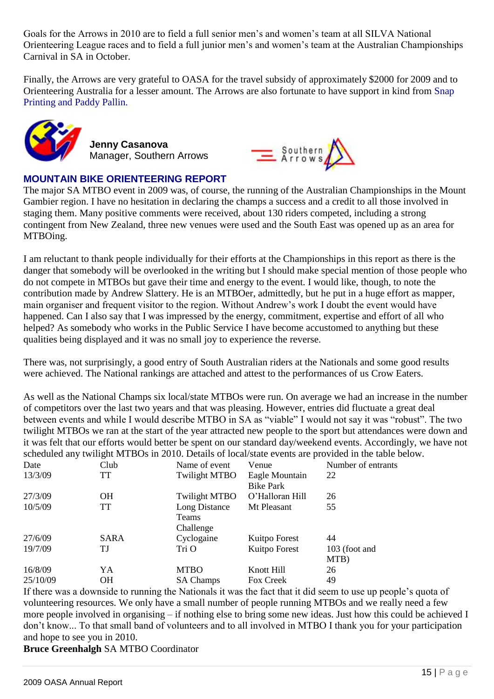Goals for the Arrows in 2010 are to field a full senior men's and women's team at all SILVA National Orienteering League races and to field a full junior men"s and women"s team at the Australian Championships Carnival in SA in October.

Finally, the Arrows are very grateful to OASA for the travel subsidy of approximately \$2000 for 2009 and to Orienteering Australia for a lesser amount. The Arrows are also fortunate to have support in kind from Snap Printing and Paddy Pallin.



**Jenny Casanova** Manager, Southern Arrows



# **MOUNTAIN BIKE ORIENTEERING REPORT**

The major SA MTBO event in 2009 was, of course, the running of the Australian Championships in the Mount Gambier region. I have no hesitation in declaring the champs a success and a credit to all those involved in staging them. Many positive comments were received, about 130 riders competed, including a strong contingent from New Zealand, three new venues were used and the South East was opened up as an area for MTBOing.

I am reluctant to thank people individually for their efforts at the Championships in this report as there is the danger that somebody will be overlooked in the writing but I should make special mention of those people who do not compete in MTBOs but gave their time and energy to the event. I would like, though, to note the contribution made by Andrew Slattery. He is an MTBOer, admittedly, but he put in a huge effort as mapper, main organiser and frequent visitor to the region. Without Andrew"s work I doubt the event would have happened. Can I also say that I was impressed by the energy, commitment, expertise and effort of all who helped? As somebody who works in the Public Service I have become accustomed to anything but these qualities being displayed and it was no small joy to experience the reverse.

There was, not surprisingly, a good entry of South Australian riders at the Nationals and some good results were achieved. The National rankings are attached and attest to the performances of us Crow Eaters.

As well as the National Champs six local/state MTBOs were run. On average we had an increase in the number of competitors over the last two years and that was pleasing. However, entries did fluctuate a great deal between events and while I would describe MTBO in SA as "viable" I would not say it was "robust". The two twilight MTBOs we ran at the start of the year attracted new people to the sport but attendances were down and it was felt that our efforts would better be spent on our standard day/weekend events. Accordingly, we have not scheduled any twilight MTBOs in 2010. Details of local/state events are provided in the table below.

| Date     | Club      | Name of event        | Venue            | Number of entrants |
|----------|-----------|----------------------|------------------|--------------------|
| 13/3/09  | TT        | <b>Twilight MTBO</b> | Eagle Mountain   | 22                 |
|          |           |                      | <b>Bike Park</b> |                    |
| 27/3/09  | <b>OH</b> | <b>Twilight MTBO</b> | O'Halloran Hill  | 26                 |
| 10/5/09  | TT        | Long Distance        | Mt Pleasant      | 55                 |
|          |           | Teams                |                  |                    |
|          |           | Challenge            |                  |                    |
| 27/6/09  | SARA      | Cyclogaine           | Kuitpo Forest    | 44                 |
| 19/7/09  | ТJ        | Tri O                | Kuitpo Forest    | 103 (foot and      |
|          |           |                      |                  | MTB)               |
| 16/8/09  | YA        | <b>MTBO</b>          | Knott Hill       | 26                 |
| 25/10/09 | OН        | <b>SA Champs</b>     | Fox Creek        | 49                 |
|          |           |                      |                  |                    |

If there was a downside to running the Nationals it was the fact that it did seem to use up people"s quota of volunteering resources. We only have a small number of people running MTBOs and we really need a few more people involved in organising – if nothing else to bring some new ideas. Just how this could be achieved I don"t know... To that small band of volunteers and to all involved in MTBO I thank you for your participation and hope to see you in 2010.

**Bruce Greenhalgh** SA MTBO Coordinator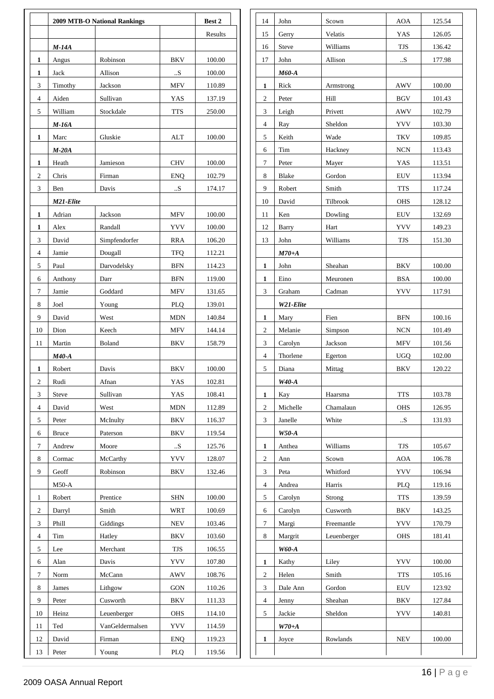|                  |              | <b>2009 MTB-O National Rankings</b> |             | Best 2  |
|------------------|--------------|-------------------------------------|-------------|---------|
|                  |              |                                     |             | Results |
|                  | $M-14A$      |                                     |             |         |
| 1                | Angus        | Robinson                            | <b>BKV</b>  | 100.00  |
| 1                | ${\rm Jack}$ | Allison                             | ${\bf .S}$  | 100.00  |
| 3                | Timothy      | Jackson                             | <b>MFV</b>  | 110.89  |
| $\overline{4}$   | Aiden        | Sullivan                            | YAS         | 137.19  |
| 5                | William      | Stockdale                           | <b>TTS</b>  | 250.00  |
|                  | $M-16A$      |                                     |             |         |
| 1                | Marc         | Gluskie                             | <b>ALT</b>  | 100.00  |
|                  | $M-20A$      |                                     |             |         |
| 1                | Heath        | Jamieson                            | <b>CHV</b>  | 100.00  |
| $\boldsymbol{2}$ | Chris        | Firman                              | <b>ENQ</b>  | 102.79  |
| 3                | Ben          | Davis                               | ${\bf .S}$  | 174.17  |
|                  | M21-Elite    |                                     |             |         |
| $\mathbf{1}$     | Adrian       | Jackson                             | <b>MFV</b>  | 100.00  |
| 1                | Alex         | Randall                             | <b>YVV</b>  | 100.00  |
| 3                | David        | Simpfendorfer                       | <b>RRA</b>  | 106.20  |
| $\overline{4}$   | Jamie        | Dougall                             | <b>TFQ</b>  | 112.21  |
| 5                | Paul         | Darvodelsky                         | <b>BFN</b>  | 114.23  |
| 6                | Anthony      | Darr                                | <b>BFN</b>  | 119.00  |
| $\tau$           | Jamie        | Goddard                             | ${\rm MFV}$ | 131.65  |
| 8                | Joel         | Young                               | PLQ         | 139.01  |
| 9                | David        | West                                | <b>MDN</b>  | 140.84  |
| 10               | Dion         | Keech                               | ${\rm MFV}$ | 144.14  |
| 11               | Martin       | Boland                              | <b>BKV</b>  | 158.79  |
|                  | $M40-A$      |                                     |             |         |
| $\mathbf{1}$     | Robert       | Davis                               | <b>BKV</b>  | 100.00  |
| $\overline{c}$   | Rudi         | Afnan                               | YAS         | 102.81  |
| 3                | Steve        | Sullivan                            | YAS         | 108.41  |
| $\overline{4}$   | David        | West                                | <b>MDN</b>  | 112.89  |
| 5                | Peter        | McInulty                            | <b>BKV</b>  | 116.37  |
| 6                | <b>Bruce</b> | Paterson                            | BKV         | 119.54  |
| $\tau$           | Andrew       | Moore                               | ${\bf .S}$  | 125.76  |
| 8                | Cormac       | McCarthy                            | <b>YVV</b>  | 128.07  |
| 9                | Geoff        | Robinson                            | BKV         | 132.46  |
|                  | $M50-A$      |                                     |             |         |
| $\mathbf{1}$     | Robert       | Prentice                            | <b>SHN</b>  | 100.00  |
| $\overline{2}$   | Darryl       | Smith                               | WRT         | 100.69  |
| $\mathfrak{Z}$   | Phill        | Giddings                            | NEV         | 103.46  |
| $\overline{4}$   | Tim          | Hatley                              | <b>BKV</b>  | 103.60  |
| 5                | Lee          | Merchant                            | TJS         | 106.55  |
| 6                | Alan         | Davis                               | <b>YVV</b>  | 107.80  |
| $\tau$           | Norm         | McCann                              | <b>AWV</b>  | 108.76  |
| 8                | James        | Lithgow                             | <b>GON</b>  | 110.26  |
| 9                | Peter        | Cusworth                            | <b>BKV</b>  | 111.33  |
| 10               | Heinz        | Leuenberger                         | <b>OHS</b>  | 114.10  |
| 11               | Ted          | VanGeldermalsen                     | <b>YVV</b>  | 114.59  |
|                  |              |                                     |             |         |
| 12<br>13         | David        | Firman                              | <b>ENQ</b>  | 119.23  |
| Peter            |              | Young                               | PLQ         | 119.56  |
|                  |              |                                     |             |         |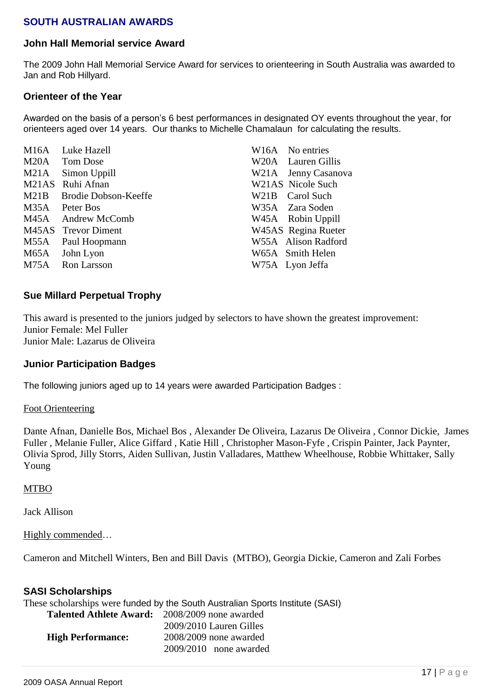# **SOUTH AUSTRALIAN AWARDS**

## **John Hall Memorial service Award**

The 2009 John Hall Memorial Service Award for services to orienteering in South Australia was awarded to Jan and Rob Hillyard.

## **Orienteer of the Year**

Awarded on the basis of a person's 6 best performances in designated OY events throughout the year, for orienteers aged over 14 years. Our thanks to Michelle Chamalaun for calculating the results.

|              |                                                                                                                                                                                                                       | W16A No entries     |
|--------------|-----------------------------------------------------------------------------------------------------------------------------------------------------------------------------------------------------------------------|---------------------|
|              |                                                                                                                                                                                                                       | W20A Lauren Gillis  |
| Simon Uppill |                                                                                                                                                                                                                       | W21A Jenny Casanova |
|              |                                                                                                                                                                                                                       | W21AS Nicole Such   |
|              |                                                                                                                                                                                                                       | W21B Carol Such     |
|              |                                                                                                                                                                                                                       | W35A Zara Soden     |
|              |                                                                                                                                                                                                                       | W45A Robin Uppill   |
|              |                                                                                                                                                                                                                       | W45AS Regina Rueter |
|              |                                                                                                                                                                                                                       | W55A Alison Radford |
|              |                                                                                                                                                                                                                       | W65A Smith Helen    |
|              |                                                                                                                                                                                                                       | W75A Lyon Jeffa     |
|              | M16A Luke Hazell<br>M20A Tom Dose<br>M21A<br>M21AS Ruhi Afnan<br>M21B Brodie Dobson-Keeffe<br>M35A Peter Bos<br>M45A Andrew McComb<br>M45AS Trevor Diment<br>M55A Paul Hoopmann<br>M65A John Lyon<br>M75A Ron Larsson |                     |

## **Sue Millard Perpetual Trophy**

This award is presented to the juniors judged by selectors to have shown the greatest improvement: Junior Female: Mel Fuller Junior Male: Lazarus de Oliveira

## **Junior Participation Badges**

The following juniors aged up to 14 years were awarded Participation Badges :

Foot Orienteering

Dante Afnan, Danielle Bos, Michael Bos , Alexander De Oliveira, Lazarus De Oliveira , Connor Dickie, James Fuller , Melanie Fuller, Alice Giffard , Katie Hill , Christopher Mason-Fyfe , Crispin Painter, Jack Paynter, Olivia Sprod, Jilly Storrs, Aiden Sullivan, Justin Valladares, Matthew Wheelhouse, Robbie Whittaker, Sally Young

## MTBO

Jack Allison

Highly commended…

Cameron and Mitchell Winters, Ben and Bill Davis (MTBO), Georgia Dickie, Cameron and Zali Forbes

## **SASI Scholarships**

|                                                       | These scholarships were funded by the South Australian Sports Institute (SASI) |
|-------------------------------------------------------|--------------------------------------------------------------------------------|
| <b>Talented Athlete Award:</b> 2008/2009 none awarded |                                                                                |
|                                                       | 2009/2010 Lauren Gilles                                                        |
| <b>High Performance:</b>                              | $2008/2009$ none awarded                                                       |
|                                                       | $2009/2010$ none awarded                                                       |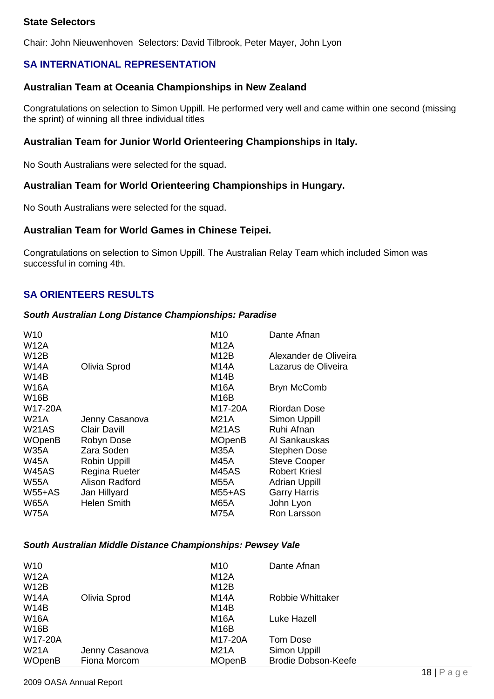# **State Selectors**

Chair: John Nieuwenhoven Selectors: David Tilbrook, Peter Mayer, John Lyon

# **SA INTERNATIONAL REPRESENTATION**

## **Australian Team at Oceania Championships in New Zealand**

Congratulations on selection to Simon Uppill. He performed very well and came within one second (missing the sprint) of winning all three individual titles

## **Australian Team for Junior World Orienteering Championships in Italy.**

No South Australians were selected for the squad.

## **Australian Team for World Orienteering Championships in Hungary.**

No South Australians were selected for the squad.

## **Australian Team for World Games in Chinese Teipei.**

Congratulations on selection to Simon Uppill. The Australian Relay Team which included Simon was successful in coming 4th.

## **SA ORIENTEERS RESULTS**

#### *South Australian Long Distance Championships: Paradise*

| W <sub>10</sub> |                     | M <sub>10</sub> | Dante Afnan           |
|-----------------|---------------------|-----------------|-----------------------|
| <b>W12A</b>     |                     | M12A            |                       |
| <b>W12B</b>     |                     | M12B            | Alexander de Oliveira |
| <b>W14A</b>     | Olivia Sprod        | <b>M14A</b>     | Lazarus de Oliveira   |
| <b>W14B</b>     |                     | M14B            |                       |
| <b>W16A</b>     |                     | M16A            | <b>Bryn McComb</b>    |
| <b>W16B</b>     |                     | M16B            |                       |
| W17-20A         |                     | M17-20A         | Riordan Dose          |
| W21A            | Jenny Casanova      | M21A            | Simon Uppill          |
| <b>W21AS</b>    | <b>Clair Davill</b> | <b>M21AS</b>    | Ruhi Afnan            |
| <b>WOpenB</b>   | Robyn Dose          | <b>MOpenB</b>   | Al Sankauskas         |
| <b>W35A</b>     | Zara Soden          | <b>M35A</b>     | <b>Stephen Dose</b>   |
| <b>W45A</b>     | Robin Uppill        | <b>M45A</b>     | <b>Steve Cooper</b>   |
| <b>W45AS</b>    | Regina Rueter       | <b>M45AS</b>    | <b>Robert Kriesl</b>  |
| W55A            | Alison Radford      | <b>M55A</b>     | <b>Adrian Uppill</b>  |
| $W55+AS$        | Jan Hillyard        | $M55+AS$        | <b>Garry Harris</b>   |
| <b>W65A</b>     | <b>Helen Smith</b>  | <b>M65A</b>     | John Lyon             |
| <b>W75A</b>     |                     | <b>M75A</b>     | Ron Larsson           |

#### *South Australian Middle Distance Championships: Pewsey Vale*

| W <sub>10</sub><br><b>W12A</b> |                                | M <sub>10</sub><br><b>M12A</b>   | Dante Afnan                                       |
|--------------------------------|--------------------------------|----------------------------------|---------------------------------------------------|
| <b>W12B</b><br><b>W14A</b>     | Olivia Sprod                   | M12B<br>M14A                     | <b>Robbie Whittaker</b>                           |
| <b>W14B</b><br><b>W16A</b>     |                                | M <sub>14</sub> B<br><b>M16A</b> | Luke Hazell                                       |
| <b>W16B</b><br>W17-20A         |                                | M16B<br>M17-20A                  | Tom Dose                                          |
| <b>W21A</b><br><b>WOpenB</b>   | Jenny Casanova<br>Fiona Morcom | M21A<br><b>MOpenB</b>            | <b>Simon Uppill</b><br><b>Brodie Dobson-Keefe</b> |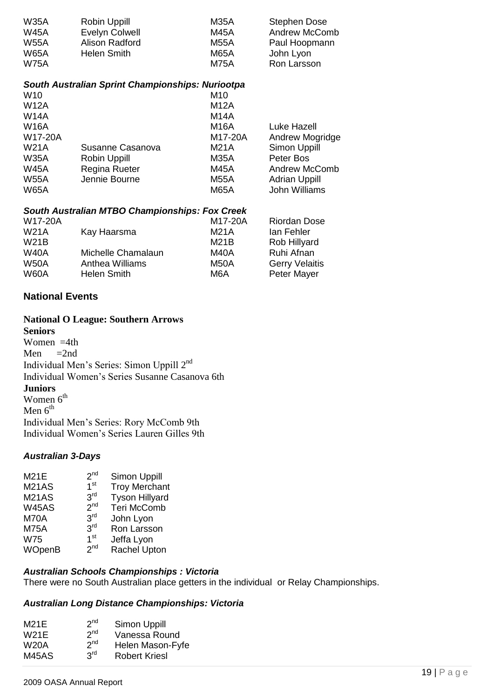| <b>W35A</b> | Robin Uppill   | M35A | Stephen Dose         |
|-------------|----------------|------|----------------------|
| <b>W45A</b> | Evelyn Colwell | M45A | <b>Andrew McComb</b> |
| <b>W55A</b> | Alison Radford | M55A | Paul Hoopmann        |
| <b>W65A</b> | Helen Smith    | M65A | John Lyon            |
| <b>W75A</b> |                | M75A | Ron Larsson          |

## *South Australian Sprint Championships: Nuriootpa*

| W <sub>10</sub> |                      | M <sub>10</sub> |                      |
|-----------------|----------------------|-----------------|----------------------|
| <b>W12A</b>     |                      | <b>M12A</b>     |                      |
| <b>W14A</b>     |                      | M14A            |                      |
| <b>W16A</b>     |                      | <b>M16A</b>     | Luke Hazell          |
| W17-20A         |                      | M17-20A         | Andrew Mogridge      |
| <b>W21A</b>     | Susanne Casanova     | <b>M21A</b>     | <b>Simon Uppill</b>  |
| <b>W35A</b>     | Robin Uppill         | <b>M35A</b>     | Peter Bos            |
| <b>W45A</b>     | <b>Regina Rueter</b> | <b>M45A</b>     | <b>Andrew McComb</b> |
| <b>W55A</b>     | Jennie Bourne        | <b>M55A</b>     | <b>Adrian Uppill</b> |
| <b>W65A</b>     |                      | <b>M65A</b>     | John Williams        |
|                 |                      |                 |                      |

#### *South Australian MTBO Championships: Fox Creek*

| W17-20A     |                        | M17-20A | <b>Riordan Dose</b>   |
|-------------|------------------------|---------|-----------------------|
| <b>W21A</b> | Kay Haarsma            | M21A    | lan Fehler            |
| <b>W21B</b> |                        | M21B    | <b>Rob Hillyard</b>   |
| <b>W40A</b> | Michelle Chamalaun     | M40A    | Ruhi Afnan            |
| <b>W50A</b> | <b>Anthea Williams</b> | M50A    | <b>Gerry Velaitis</b> |
| <b>W60A</b> | Helen Smith            | M6A     | Peter Mayer           |

# **National Events**

### **National O League: Southern Arrows**

**Seniors** Women =4th Men  $=2nd$ Individual Men's Series: Simon Uppill 2<sup>nd</sup> Individual Women"s Series Susanne Casanova 6th **Juniors** Women 6<sup>th</sup> Men  $6<sup>th</sup>$ Individual Men"s Series: Rory McComb 9th Individual Women"s Series Lauren Gilles 9th

## *Australian 3-Days*

| Simon Uppill                                                                                                                                         |
|------------------------------------------------------------------------------------------------------------------------------------------------------|
| <b>Troy Merchant</b>                                                                                                                                 |
| <b>Tyson Hillyard</b>                                                                                                                                |
| <b>Teri McComb</b>                                                                                                                                   |
| John Lyon                                                                                                                                            |
| Ron Larsson                                                                                                                                          |
| Jeffa Lyon                                                                                                                                           |
| Rachel Upton                                                                                                                                         |
| 2 <sub>nd</sub><br>1 <sup>st</sup><br>3 <sup>rd</sup><br>2 <sub>nd</sub><br>3 <sup>rd</sup><br>3 <sup>rd</sup><br>1 <sup>st</sup><br>2 <sub>nd</sub> |

## *Australian Schools Championships : Victoria*

There were no South Australian place getters in the individual or Relay Championships.

## *Australian Long Distance Championships: Victoria*

| 2 <sup>nd</sup> | Simon Uppill                                          |
|-----------------|-------------------------------------------------------|
|                 | Vanessa Round                                         |
|                 | Helen Mason-Fyfe                                      |
|                 | <b>Robert Kriesl</b>                                  |
|                 | 2 <sup>nd</sup><br>2 <sup>nd</sup><br>3 <sup>rd</sup> |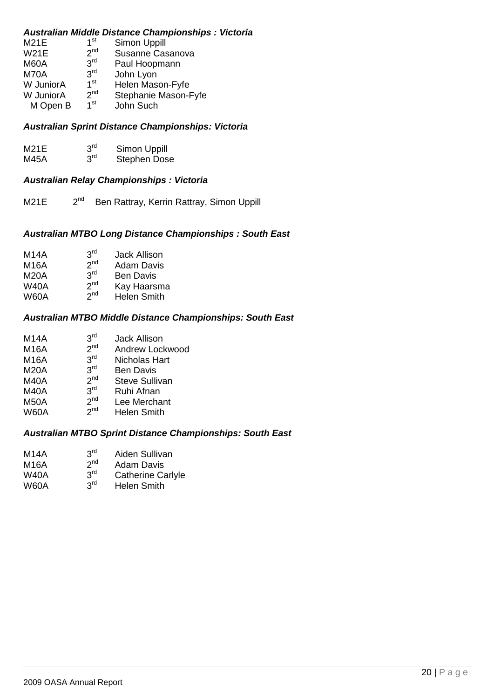## *Australian Middle Distance Championships : Victoria*

| <b>M21E</b> | 1 <sup>st</sup> | Simon Uppill         |
|-------------|-----------------|----------------------|
| <b>W21E</b> | 2 <sub>nd</sub> | Susanne Casanova     |
| M60A        | 3 <sup>rd</sup> | Paul Hoopmann        |
| M70A        | 3 <sup>rd</sup> | John Lyon            |
| W JuniorA   | 1 <sup>st</sup> | Helen Mason-Fyfe     |
| W JuniorA   | 2 <sub>nd</sub> | Stephanie Mason-Fyfe |
| M Open B    | 1 <sup>st</sup> | John Such            |

## *Australian Sprint Distance Championships: Victoria*

| M21E        | 3 <sup>rd</sup> | Simon Uppill        |
|-------------|-----------------|---------------------|
| <b>M45A</b> | 3 <sup>rd</sup> | <b>Stephen Dose</b> |

## *Australian Relay Championships : Victoria*

 $M21E$   $2<sup>nd</sup>$ Ben Rattray, Kerrin Rattray, Simon Uppill

## *Australian MTBO Long Distance Championships : South East*

| 3 <sup>rd</sup> | <b>Jack Allison</b>                                                      |
|-----------------|--------------------------------------------------------------------------|
|                 | <b>Adam Davis</b>                                                        |
|                 | <b>Ben Davis</b>                                                         |
|                 | Kay Haarsma                                                              |
|                 | <b>Helen Smith</b>                                                       |
|                 | 2 <sub>nd</sub><br>3 <sup>rd</sup><br>2 <sup>nd</sup><br>2 <sub>nd</sub> |

## *Australian MTBO Middle Distance Championships: South East*

| M14A        | 3 <sup>rd</sup> | <b>Jack Allison</b>   |
|-------------|-----------------|-----------------------|
| <b>M16A</b> | 2 <sup>nd</sup> | Andrew Lockwood       |
| <b>M16A</b> | 3 <sup>rd</sup> | Nicholas Hart         |
| <b>M20A</b> | 3 <sup>rd</sup> | <b>Ben Davis</b>      |
| <b>M40A</b> | 2 <sub>nd</sub> | <b>Steve Sullivan</b> |
| <b>M40A</b> | 3 <sup>rd</sup> | Ruhi Afnan            |
| <b>M50A</b> | 2 <sup>nd</sup> | Lee Merchant          |
|             | المراجع         |                       |

 $W60A$  2<sup>nd</sup> Helen Smith

## *Australian MTBO Sprint Distance Championships: South East*

| M14A | rdر<br>. . | Aiden Sullivan |
|------|------------|----------------|
|      |            |                |

- $M16A$   $2<sup>nd</sup>$ <br>W40A  $3<sup>rd</sup>$ Adam Davis
- **Catherine Carlyle**
- $W40A$   $3^{rd}$ <br> $W60A$   $3^{rd}$ **W60A** Helen Smith